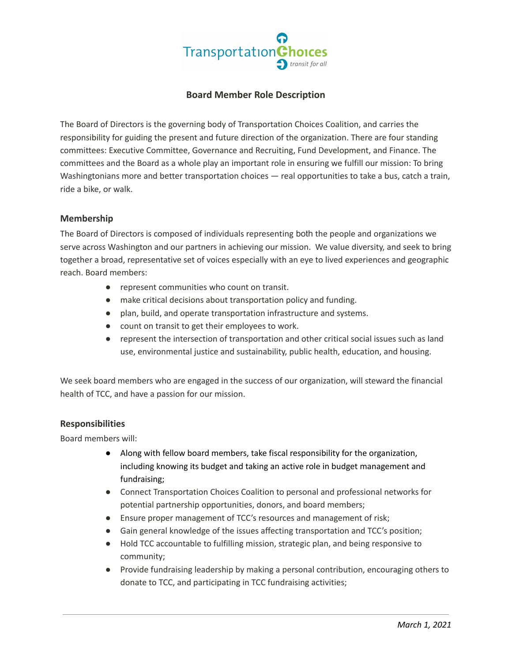

# **Board Member Role Description**

The Board of Directors is the governing body of Transportation Choices Coalition, and carries the responsibility for guiding the present and future direction of the organization. There are four standing committees: Executive Committee, Governance and Recruiting, Fund Development, and Finance. The committees and the Board as a whole play an important role in ensuring we fulfill our mission: To bring Washingtonians more and better transportation choices — real opportunities to take a bus, catch a train, ride a bike, or walk.

### **Membership**

The Board of Directors is composed of individuals representing both the people and organizations we serve across Washington and our partners in achieving our mission. We value diversity, and seek to bring together a broad, representative set of voices especially with an eye to lived experiences and geographic reach. Board members:

- represent communities who count on transit.
- make critical decisions about transportation policy and funding.
- plan, build, and operate transportation infrastructure and systems.
- count on transit to get their employees to work.
- represent the intersection of transportation and other critical social issues such as land use, environmental justice and sustainability, public health, education, and housing.

We seek board members who are engaged in the success of our organization, will steward the financial health of TCC, and have a passion for our mission.

## **Responsibilities**

Board members will:

- Along with fellow board members, take fiscal responsibility for the organization, including knowing its budget and taking an active role in budget management and fundraising;
- Connect Transportation Choices Coalition to personal and professional networks for potential partnership opportunities, donors, and board members;
- Ensure proper management of TCC's resources and management of risk;
- Gain general knowledge of the issues affecting transportation and TCC's position;
- Hold TCC accountable to fulfilling mission, strategic plan, and being responsive to community;
- Provide fundraising leadership by making a personal contribution, encouraging others to donate to TCC, and participating in TCC fundraising activities;